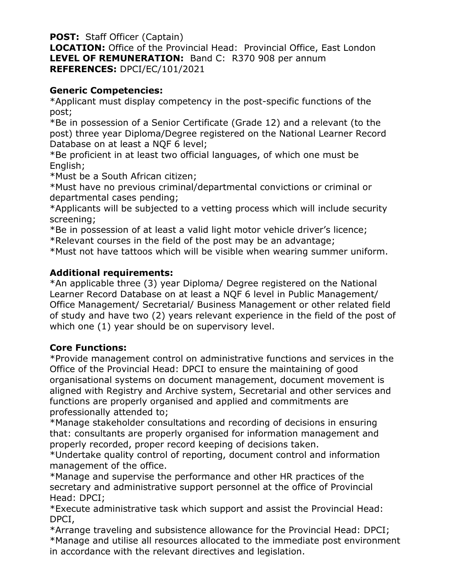**POST:** Staff Officer (Captain)

**LOCATION:** Office of the Provincial Head: Provincial Office, East London **LEVEL OF REMUNERATION:** Band C: R370 908 per annum **REFERENCES:** DPCI/EC/101/2021

## **Generic Competencies:**

\*Applicant must display competency in the post-specific functions of the post;

\*Be in possession of a Senior Certificate (Grade 12) and a relevant (to the post) three year Diploma/Degree registered on the National Learner Record Database on at least a NQF 6 level;

\*Be proficient in at least two official languages, of which one must be English;

\*Must be a South African citizen;

\*Must have no previous criminal/departmental convictions or criminal or departmental cases pending;

\*Applicants will be subjected to a vetting process which will include security screening;

\*Be in possession of at least a valid light motor vehicle driver's licence; \*Relevant courses in the field of the post may be an advantage;

\*Must not have tattoos which will be visible when wearing summer uniform.

## **Additional requirements:**

\*An applicable three (3) year Diploma/ Degree registered on the National Learner Record Database on at least a NQF 6 level in Public Management/ Office Management/ Secretarial/ Business Management or other related field of study and have two (2) years relevant experience in the field of the post of which one (1) year should be on supervisory level.

## **Core Functions:**

\*Provide management control on administrative functions and services in the Office of the Provincial Head: DPCI to ensure the maintaining of good organisational systems on document management, document movement is aligned with Registry and Archive system, Secretarial and other services and functions are properly organised and applied and commitments are professionally attended to;

\*Manage stakeholder consultations and recording of decisions in ensuring that: consultants are properly organised for information management and properly recorded, proper record keeping of decisions taken.

\*Undertake quality control of reporting, document control and information management of the office.

\*Manage and supervise the performance and other HR practices of the secretary and administrative support personnel at the office of Provincial Head: DPCI;

\*Execute administrative task which support and assist the Provincial Head: DPCI,

\*Arrange traveling and subsistence allowance for the Provincial Head: DPCI; \*Manage and utilise all resources allocated to the immediate post environment in accordance with the relevant directives and legislation.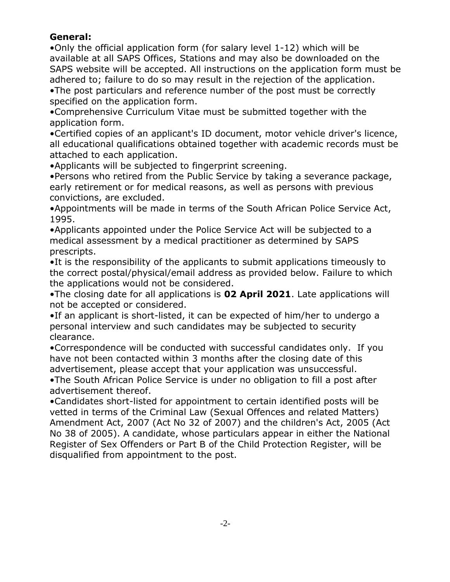# **General:**

•Only the official application form (for salary level 1-12) which will be available at all SAPS Offices, Stations and may also be downloaded on the SAPS website will be accepted. All instructions on the application form must be adhered to; failure to do so may result in the rejection of the application.

•The post particulars and reference number of the post must be correctly specified on the application form.

•Comprehensive Curriculum Vitae must be submitted together with the application form.

•Certified copies of an applicant's ID document, motor vehicle driver's licence, all educational qualifications obtained together with academic records must be attached to each application.

•Applicants will be subjected to fingerprint screening.

•Persons who retired from the Public Service by taking a severance package, early retirement or for medical reasons, as well as persons with previous convictions, are excluded.

•Appointments will be made in terms of the South African Police Service Act, 1995.

•Applicants appointed under the Police Service Act will be subjected to a medical assessment by a medical practitioner as determined by SAPS prescripts.

•It is the responsibility of the applicants to submit applications timeously to the correct postal/physical/email address as provided below. Failure to which the applications would not be considered.

•The closing date for all applications is **02 April 2021**. Late applications will not be accepted or considered.

•If an applicant is short-listed, it can be expected of him/her to undergo a personal interview and such candidates may be subjected to security clearance.

•Correspondence will be conducted with successful candidates only. If you have not been contacted within 3 months after the closing date of this advertisement, please accept that your application was unsuccessful.

•The South African Police Service is under no obligation to fill a post after advertisement thereof.

•Candidates short-listed for appointment to certain identified posts will be vetted in terms of the Criminal Law (Sexual Offences and related Matters) Amendment Act, 2007 (Act No 32 of 2007) and the children's Act, 2005 (Act No 38 of 2005). A candidate, whose particulars appear in either the National Register of Sex Offenders or Part B of the Child Protection Register, will be disqualified from appointment to the post.